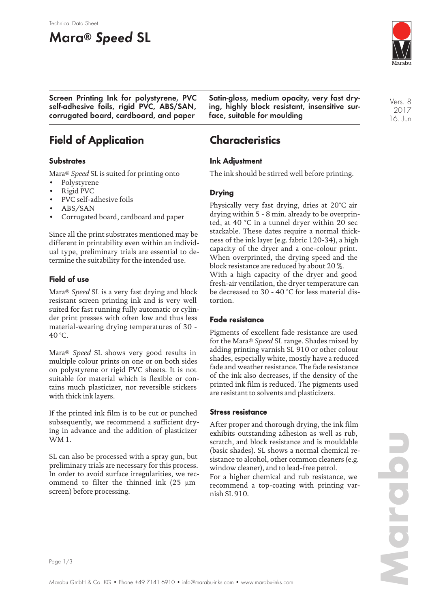# **Mara® Speed SL**



**Screen Printing Ink for polystyrene, PVC self-adhesive foils, rigid PVC, ABS/SAN, corrugated board, cardboard, and paper**

**Satin-gloss, medium opacity, very fast drying, highly block resistant, insensitive surface, suitable for moulding**

Vers. 8 2017 16. Jun

# **Field of Application**

### **Substrates**

Mara® *Speed* SL is suited for printing onto

- Polystyrene
- Rigid PVC
- PVC self-adhesive foils
- ABS/SAN
- Corrugated board, cardboard and paper

Since all the print substrates mentioned may be different in printability even within an individual type, preliminary trials are essential to determine the suitability for the intended use.

### **Field of use**

Mara® *Speed* SL is a very fast drying and block resistant screen printing ink and is very well suited for fast running fully automatic or cylinder print presses with often low and thus less material-wearing drying temperatures of 30 - 40 °C.

Mara® *Speed* SL shows very good results in multiple colour prints on one or on both sides on polystyrene or rigid PVC sheets. It is not suitable for material which is flexible or contains much plasticizer, nor reversible stickers with thick ink layers.

If the printed ink film is to be cut or punched subsequently, we recommend a sufficient drying in advance and the addition of plasticizer WM 1.

SL can also be processed with a spray gun, but preliminary trials are necessary for this process. In order to avoid surface irregularities, we recommend to filter the thinned ink (25 µm screen) before processing.

## **Characteristics**

### **Ink Adjustment**

The ink should be stirred well before printing.

### **Drying**

Physically very fast drying, dries at 20°C air drying within 5 - 8 min. already to be overprinted, at 40 °C in a tunnel dryer within 20 sec stackable. These dates require a normal thickness of the ink layer (e.g. fabric 120-34), a high capacity of the dryer and a one-colour print. When overprinted, the drying speed and the block resistance are reduced by about 20 %. With a high capacity of the dryer and good fresh-air ventilation, the dryer temperature can be decreased to 30 - 40 °C for less material distortion.

### **Fade resistance**

Pigments of excellent fade resistance are used for the Mara® *Speed* SL range. Shades mixed by adding printing varnish SL 910 or other colour shades, especially white, mostly have a reduced fade and weather resistance. The fade resistance of the ink also decreases, if the density of the printed ink film is reduced. The pigments used are resistant to solvents and plasticizers.

#### **Stress resistance**

After proper and thorough drying, the ink film exhibits outstanding adhesion as well as rub, scratch, and block resistance and is mouldable (basic shades). SL shows a normal chemical resistance to alcohol, other common cleaners (e.g. window cleaner), and to lead-free petrol.

For a higher chemical and rub resistance, we recommend a top-coating with printing varnish SL 910.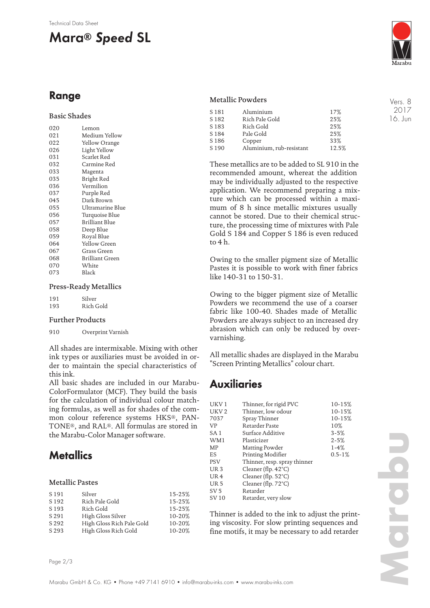#### Technical Data Sheet

# **Mara® Speed SL**

# **Range**

### Basic Shades

| 020 | Lemon                  |
|-----|------------------------|
| 021 | Medium Yellow          |
| 022 | Yellow Orange          |
| 026 | Light Yellow           |
| 031 | Scarlet Red            |
| 032 | Carmine Red            |
| 033 | Magenta                |
| 035 | Bright Red             |
| 036 | Vermilion              |
| 037 | Purple Red             |
| 045 | Dark Brown             |
| 055 | Ultramarine Blue       |
| 056 | Turquoise Blue         |
| 057 | Brilliant Blue         |
| 058 | Deep Blue              |
| 059 | Royal Blue             |
| 064 | Yellow Green           |
| 067 | Grass Green            |
| 068 | <b>Brilliant Green</b> |
| 070 | White                  |
| 073 | Black                  |
|     |                        |

#### Press-Ready Metallics

| 191 | Silver    |
|-----|-----------|
| 193 | Rich Gold |

#### Further Products

910 Overprint Varnish

All shades are intermixable. Mixing with other ink types or auxiliaries must be avoided in order to maintain the special characteristics of this ink.

All basic shades are included in our Marabu-ColorFormulator (MCF). They build the basis for the calculation of individual colour matching formulas, as well as for shades of the common colour reference systems HKS®, PAN-TONE®, and RAL®. All formulas are stored in the Marabu-Color Manager software.

## **Metallics**

#### Metallic Pastes

| S 191            | Silver                    | 15-25% |
|------------------|---------------------------|--------|
| S <sub>192</sub> | Rich Pale Gold            | 15-25% |
| S <sub>193</sub> | Rich Gold                 | 15-25% |
| S 291            | High Gloss Silver         | 10-20% |
| S 292            | High Gloss Rich Pale Gold | 10-20% |
| S 293            | High Gloss Rich Gold      | 10-20% |
|                  |                           |        |

#### Metallic Powders

| S 181            | Aluminium                | 17%   |
|------------------|--------------------------|-------|
| S <sub>182</sub> | Rich Pale Gold           | 25%   |
| S <sub>183</sub> | Rich Gold                | 25%   |
| S184             | Pale Gold                | 25%   |
| S <sub>186</sub> | Copper                   | 33%   |
| S <sub>190</sub> | Aluminium, rub-resistant | 12.5% |

These metallics are to be added to SL 910 in the recommended amount, whereat the addition may be individually adjusted to the respective application. We recommend preparing a mixture which can be processed within a maximum of 8 h since metallic mixtures usually cannot be stored. Due to their chemical structure, the processing time of mixtures with Pale Gold S 184 and Copper S 186 is even reduced to 4 h.

Owing to the smaller pigment size of Metallic Pastes it is possible to work with finer fabrics like 140-31 to 150-31.

Owing to the bigger pigment size of Metallic Powders we recommend the use of a coarser fabric like 100-40. Shades made of Metallic Powders are always subject to an increased dry abrasion which can only be reduced by overvarnishing.

All metallic shades are displayed in the Marabu "Screen Printing Metallics" colour chart.

### **Auxiliaries**

| UKV <sub>1</sub> | Thinner, for rigid PVC        | 10-15%      |
|------------------|-------------------------------|-------------|
| UKV <sub>2</sub> | Thinner, low odour            | 10-15%      |
| 7037             | Spray Thinner                 | 10-15%      |
| VP               | Retarder Paste                | 10%         |
| SA 1             | Surface Additive              | $3 - 5%$    |
| WM1              | Plasticizer                   | $2 - 5%$    |
| MP               | Matting Powder                | $1 - 4%$    |
| ES               | Printing Modifier             | $0.5 - 1\%$ |
| <b>PSV</b>       | Thinner, resp. spray thinner  |             |
| UR <sub>3</sub>  | Cleaner (flp. $42^{\circ}$ C) |             |
| UR <sub>4</sub>  | Cleaner (flp. $52^{\circ}$ C) |             |
| UR <sub>5</sub>  | Cleaner (flp. $72^{\circ}$ C) |             |
| SV <sub>5</sub>  | Retarder                      |             |
| SV 10            | Retarder, very slow           |             |
|                  |                               |             |

Thinner is added to the ink to adjust the printing viscosity. For slow printing sequences and fine motifs, it may be necessary to add retarder

**Marabu**



Vers. 8 2017 16. Jun